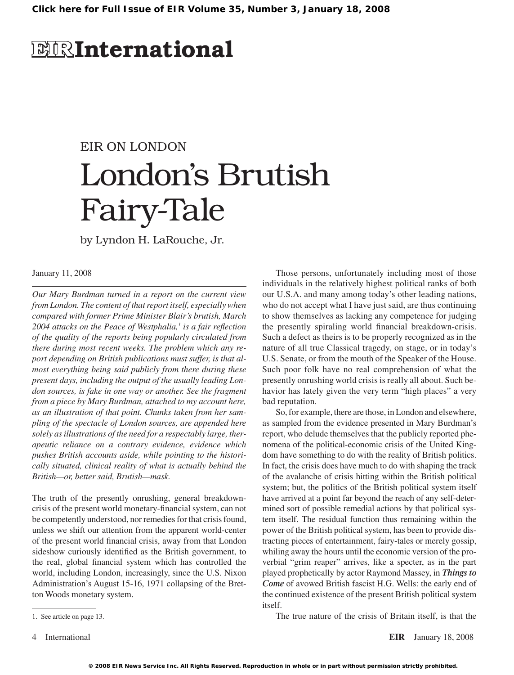# **EIRInternational**

# EIR ON LONDON London's Brutish Fairy-Tale

by Lyndon H. LaRouche, Jr.

#### January 11, 2008

*Our Mary Burdman turned in a report on the current view from London. The content of that report itself, especially when compared with former Prime Minister Blair's brutish, March 2004 attacks on the Peace of Westphalia, is a fair reflection of the quality of the reports being popularly circulated from there during most recent weeks. The problem which any report depending on British publications must suffer, is that almost everything being said publicly from there during these present days, including the output of the usually leading London sources, is fake in one way or another. See the fragment from a piece by Mary Burdman, attached to my account here, as an illustration of that point. Chunks taken from her sampling of the spectacle of London sources, are appended here solely as illustrations of the need for a respectably large, therapeutic reliance on a contrary evidence, evidence which pushes British accounts aside, while pointing to the historically situated, clinical reality of what is actually behind the British—or, better said, Brutish—mask.*

The truth of the presently onrushing, general breakdowncrisis of the present world monetary-financial system, can not be competently understood, nor remedies for that crisis found, unless we shift our attention from the apparent world-center of the present world financial crisis, away from that London sideshow curiously identified as the British government, to the real, global financial system which has controlled the world, including London, increasingly, since the U.S. Nixon Administration's August 15-16, 1971 collapsing of the Bretton Woods monetary system.

Those persons, unfortunately including most of those individuals in the relatively highest political ranks of both our U.S.A. and many among today's other leading nations, who do not accept what I have just said, are thus continuing to show themselves as lacking any competence for judging the presently spiraling world financial breakdown-crisis. Such a defect as theirs is to be properly recognized as in the nature of all true Classical tragedy, on stage, or in today's U.S. Senate, or from the mouth of the Speaker of the House. Such poor folk have no real comprehension of what the presently onrushing world crisis is really all about. Such behavior has lately given the very term "high places" a very bad reputation.

So,for example, there are those, in London and elsewhere, as sampled from the evidence presented in Mary Burdman's report, who delude themselves that the publicly reported phenomena of the political-economic crisis of the United Kingdom have something to do with the reality of British politics. In fact, the crisis does have much to do with shaping the track of the avalanche of crisis hitting within the British political system; but, the politics of the British political system itself have arrived at a point far beyond the reach of any self-determined sort of possible remedial actions by that political system itself. The residual function thus remaining within the power of the British political system, has been to provide distracting pieces of entertainment, fairy-tales or merely gossip, whiling away the hours until the economic version of the proverbial "grim reaper" arrives, like a specter, as in the part played prophetically by actor Raymond Massey, in *Things to Come* of avowed British fascist H.G. Wells: the early end of the continued existence of the present British political system itself.

The true nature of the crisis of Britain itself, is that the

1. See article on page 13.

International **EIR** January 18, 2008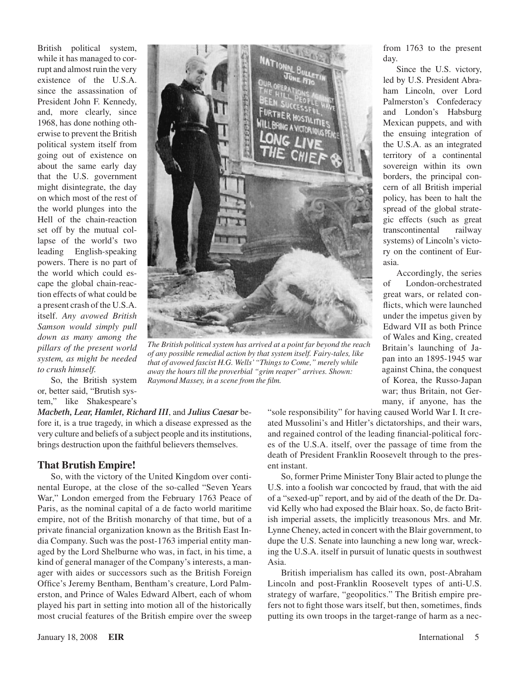British political system, while it has managed to corrupt and almost ruin the very existence of the U.S.A. since the assassination of President John F. Kennedy, and, more clearly, since 1968, has done nothing otherwise to prevent the British political system itself from going out of existence on about the same early day that the U.S. government might disintegrate, the day on which most of the rest of the world plunges into the Hell of the chain-reaction set off by the mutual collapse of the world's two leading English-speaking powers. There is no part of the world which could escape the global chain-reaction effects of what could be a present crash of the U.S.A. itself. *Any avowed British Samson would simply pull down as many among the pillars of the present world system, as might be needed to crush himself.*



*The British political system has arrived at a point far beyond the reach of any possible remedial action by that system itself. Fairy-tales, like that of avowed fascist H.G. Wells' "Things to Come," merely while away the hours till the proverbial "grim reaper" arrives. Shown: Raymond Massey, in a scene from the film.*

So, the British system or, better said, "Brutish system," like Shakespeare's

*Macbeth, Lear, Hamlet, Richard III*, and *Julius Caesar* before it, is a true tragedy, in which a disease expressed as the very culture and beliefs of a subject people and its institutions, brings destruction upon the faithful believers themselves.

#### **That Brutish Empire!**

So, with the victory of the United Kingdom over continental Europe, at the close of the so-called "Seven Years War," London emerged from the February 1763 Peace of Paris, as the nominal capital of a de facto world maritime empire, not of the British monarchy of that time, but of a private financial organization known as the British East India Company. Such was the post-1763 imperial entity managed by the Lord Shelburne who was, in fact, in his time, a kind of general manager of the Company's interests, a manager with aides or successors such as the British Foreign Office's Jeremy Bentham, Bentham's creature, Lord Palmerston, and Prince of Wales Edward Albert, each of whom played his part in setting into motion all of the historically most crucial features of the British empire over the sweep from 1763 to the present day.

Since the U.S. victory, led by U.S. President Abraham Lincoln, over Lord Palmerston's Confederacy and London's Habsburg Mexican puppets, and with the ensuing integration of the U.S.A. as an integrated territory of a continental sovereign within its own borders, the principal concern of all British imperial policy, has been to halt the spread of the global strategic effects (such as great transcontinental railway systems) of Lincoln's victory on the continent of Eurasia.

Accordingly, the series of London-orchestrated great wars, or related conflicts, which were launched under the impetus given by Edward VII as both Prince of Wales and King, created Britain's launching of Japan into an 1895-1945 war against China, the conquest of Korea, the Russo-Japan war; thus Britain, not Germany, if anyone, has the

"sole responsibility" for having caused World War I. It created Mussolini's and Hitler's dictatorships, and their wars, and regained control of the leading financial-political forces of the U.S.A. itself, over the passage of time from the death of President Franklin Roosevelt through to the present instant.

So, former Prime Minister Tony Blair acted to plunge the U.S. into a foolish war concocted by fraud, that with the aid of a "sexed-up" report, and by aid of the death of the Dr. David Kelly who had exposed the Blair hoax. So, de facto British imperial assets, the implicitly treasonous Mrs. and Mr. Lynne Cheney, acted in concert with the Blair government, to dupe the U.S. Senate into launching a new long war, wrecking the U.S.A. itself in pursuit of lunatic quests in southwest Asia.

British imperialism has called its own, post-Abraham Lincoln and post-Franklin Roosevelt types of anti-U.S. strategy of warfare, "geopolitics." The British empire prefers not to fight those wars itself, but then, sometimes, finds putting its own troops in the target-range of harm as a nec-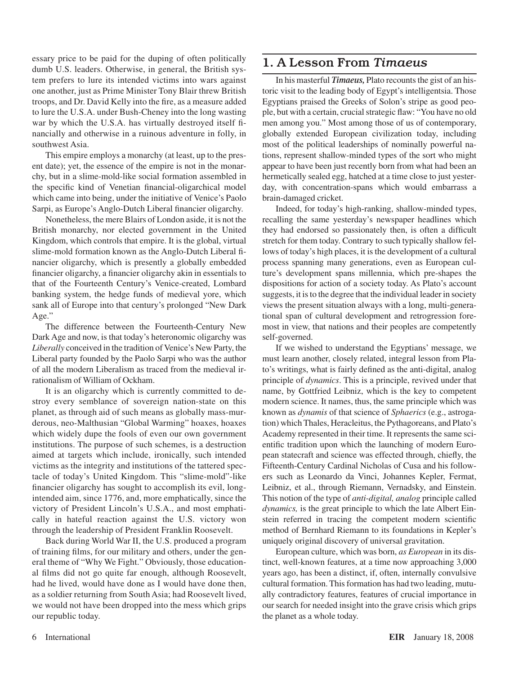essary price to be paid for the duping of often politically dumb U.S. leaders. Otherwise, in general, the British system prefers to lure its intended victims into wars against one another, just as Prime Minister Tony Blair threw British troops, and Dr. David Kelly into the fire, as a measure added to lure the U.S.A. under Bush-Cheney into the long wasting war by which the U.S.A. has virtually destroyed itself financially and otherwise in a ruinous adventure in folly, in southwest Asia.

This empire employs a monarchy (at least, up to the present date); yet, the essence of the empire is not in the monarchy, but in a slime-mold-like social formation assembled in the specific kind of Venetian financial-oligarchical model which came into being, under the initiative of Venice's Paolo Sarpi, as Europe's Anglo-Dutch Liberal financier oligarchy.

Nonetheless, the mere Blairs of London aside, it is not the British monarchy, nor elected government in the United Kingdom, which controls that empire. It is the global, virtual slime-mold formation known as the Anglo-Dutch Liberal financier oligarchy, which is presently a globally embedded financier oligarchy, a financier oligarchy akin in essentials to that of the Fourteenth Century's Venice-created, Lombard banking system, the hedge funds of medieval yore, which sank all of Europe into that century's prolonged "New Dark Age."

The difference between the Fourteenth-Century New Dark Age and now, is that today's heteronomic oligarchy was *Liberally* conceived in the tradition of Venice's New Party, the Liberal party founded by the Paolo Sarpi who was the author of all the modern Liberalism as traced from the medieval irrationalism of William of Ockham.

It is an oligarchy which is currently committed to destroy every semblance of sovereign nation-state on this planet, as through aid of such means as globally mass-murderous, neo-Malthusian "Global Warming" hoaxes, hoaxes which widely dupe the fools of even our own government institutions. The purpose of such schemes, is a destruction aimed at targets which include, ironically, such intended victims as the integrity and institutions of the tattered spectacle of today's United Kingdom. This "slime-mold"-like financier oligarchy has sought to accomplish its evil, longintended aim, since 1776, and, more emphatically, since the victory of President Lincoln's U.S.A., and most emphatically in hateful reaction against the U.S. victory won through the leadership of President Franklin Roosevelt.

Back during World War II, the U.S. produced a program of training films, for our military and others, under the general theme of "Why We Fight." Obviously, those educational films did not go quite far enough, although Roosevelt, had he lived, would have done as I would have done then, as a soldier returning from South Asia; had Roosevelt lived, we would not have been dropped into the mess which grips our republic today.

### 1. A Lesson From *Timaeus*

In his masterful *Timaeus*, Plato recounts the gist of an historic visit to the leading body of Egypt's intelligentsia. Those Egyptians praised the Greeks of Solon's stripe as good people, but with a certain, crucial strategic flaw: "You have no old men among you." Most among those of us of contemporary, globally extended European civilization today, including most of the political leaderships of nominally powerful nations, represent shallow-minded types of the sort who might appear to have been just recently born from what had been an hermetically sealed egg, hatched at a time close to just yesterday, with concentration-spans which would embarrass a brain-damaged cricket.

Indeed, for today's high-ranking, shallow-minded types, recalling the same yesterday's newspaper headlines which they had endorsed so passionately then, is often a difficult stretch for them today. Contrary to such typically shallow fellows of today's high places, it is the development of a cultural process spanning many generations, even as European culture's development spans millennia, which pre-shapes the dispositions for action of a society today. As Plato's account suggests, it is to the degree that the individual leader in society views the present situation always with a long, multi-generational span of cultural development and retrogression foremost in view, that nations and their peoples are competently self-governed.

If we wished to understand the Egyptians' message, we must learn another, closely related, integral lesson from Plato's writings, what is fairly defined as the anti-digital, analog principle of *dynamics*. This is a principle, revived under that name, by Gottfried Leibniz, which is the key to competent modern science. It names, thus, the same principle which was known as *dynamis* of that science of *Sphaerics* (e.g., astrogation) which Thales, Heracleitus, the Pythagoreans, and Plato's Academy represented in their time. It represents the same scientific tradition upon which the launching of modern European statecraft and science was effected through, chiefly, the Fifteenth-Century Cardinal Nicholas of Cusa and his followers such as Leonardo da Vinci, Johannes Kepler, Fermat, Leibniz, et al., through Riemann, Vernadsky, and Einstein. This notion of the type of *anti-digital, analog* principle called *dynamics,* is the great principle to which the late Albert Einstein referred in tracing the competent modern scientific method of Bernhard Riemann to its foundations in Kepler's uniquely original discovery of universal gravitation.

European culture, which was born, *as European* in its distinct, well-known features, at a time now approaching 3,000 years ago, has been a distinct, if, often, internally convulsive cultural formation. This formation has had two leading, mutually contradictory features, features of crucial importance in our search for needed insight into the grave crisis which grips the planet as a whole today.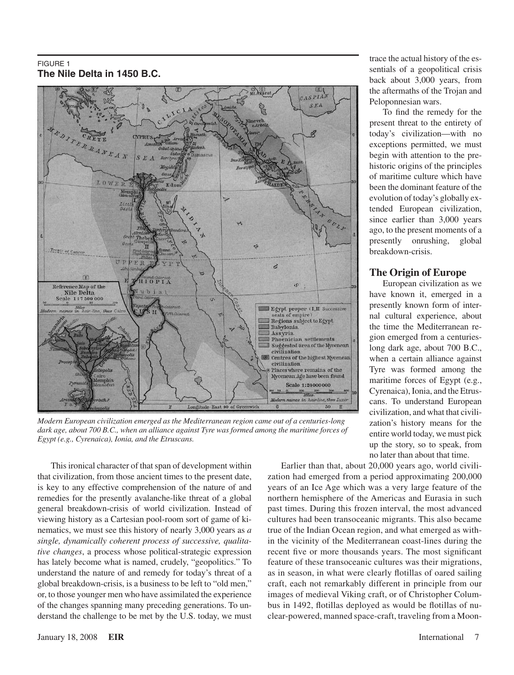#### FIGURE 1 **The Nile Delta in 1450 B.C.**



*Modern European civilization emerged as the Mediterranean region came out of a centuries-long dark age, about 700 B.C., when an alliance against Tyre was formed among the maritime forces of Egypt (e.g., Cyrenaica), Ionia, and the Etruscans.*

This ironical character of that span of development within that civilization, from those ancient times to the present date, is key to any effective comprehension of the nature of and remedies for the presently avalanche-like threat of a global general breakdown-crisis of world civilization. Instead of viewing history as a Cartesian pool-room sort of game of kinematics, we must see this history of nearly 3,000 years as *a single, dynamically coherent process of successive, qualitative changes*, a process whose political-strategic expression has lately become what is named, crudely, "geopolitics." To understand the nature of and remedy for today's threat of a global breakdown-crisis, is a business to be left to "old men," or, to those younger men who have assimilated the experience of the changes spanning many preceding generations. To understand the challenge to be met by the U.S. today, we must trace the actual history of the essentials of a geopolitical crisis back about 3,000 years, from the aftermaths of the Trojan and Peloponnesian wars.

To find the remedy for the present threat to the entirety of today's civilization—with no exceptions permitted, we must begin with attention to the prehistoric origins of the principles of maritime culture which have been the dominant feature of the evolution of today's globally extended European civilization, since earlier than 3,000 years ago, to the present moments of a presently onrushing, global breakdown-crisis.

#### **The Origin of Europe**

European civilization as we have known it, emerged in a presently known form of internal cultural experience, about the time the Mediterranean region emerged from a centurieslong dark age, about 700 B.C., when a certain alliance against Tyre was formed among the maritime forces of Egypt (e.g., Cyrenaica), Ionia, and the Etruscans. To understand European civilization, and what that civilization's history means for the entire world today, we must pick up the story, so to speak, from no later than about that time.

Earlier than that, about 20,000 years ago, world civilization had emerged from a period approximating 200,000 years of an Ice Age which was a very large feature of the northern hemisphere of the Americas and Eurasia in such past times. During this frozen interval, the most advanced cultures had been transoceanic migrants. This also became true of the Indian Ocean region, and what emerged as within the vicinity of the Mediterranean coast-lines during the recent five or more thousands years. The most significant feature of these transoceanic cultures was their migrations, as in season, in what were clearly flotillas of oared sailing craft, each not remarkably different in principle from our images of medieval Viking craft, or of Christopher Columbus in 1492, flotillas deployed as would be flotillas of nuclear-powered, manned space-craft, traveling from a Moon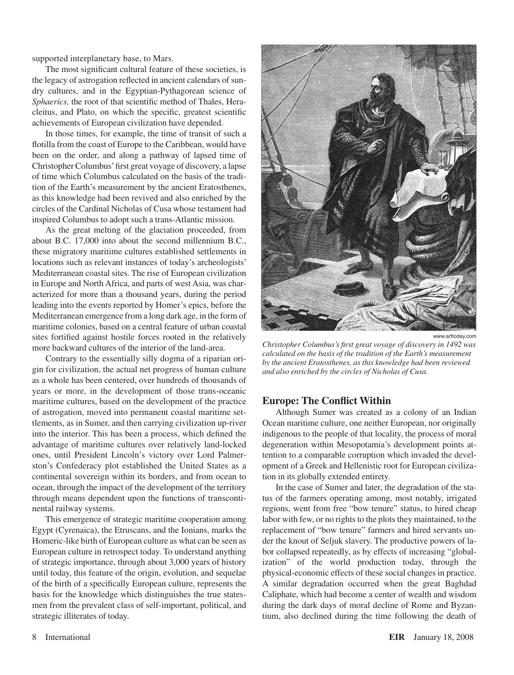supported interplanetary base, to Mars.

The most significant cultural feature of these societies, is the legacy of astrogation reflected in ancient calendars of sundry cultures, and in the Egyptian-Pythagorean science of *Sphaerics,* the root of that scientific method of Thales, Heracleitus, and Plato, on which the specific, greatest scientific achievements of European civilization have depended.

In those times, for example, the time of transit of such a flotilla from the coast of Europe to the Caribbean, would have been on the order, and along a pathway of lapsed time of ChristopherColumbus'first great voyage of discovery, a lapse of time which Columbus calculated on the basis of the tradition of the Earth's measurement by the ancient Eratosthenes, as this knowledge had been revived and also enriched by the circles of the Cardinal Nicholas of Cusa whose testament had inspired Columbus to adopt such a trans-Atlantic mission.

As the great melting of the glaciation proceeded, from about B.C. 17,000 into about the second millennium B.C., these migratory maritime cultures established settlements in locations such as relevant instances of today's archeologists' Mediterranean coastal sites. The rise of European civilization in Europe and North Africa, and parts of west Asia, was characterized for more than a thousand years, during the period leading into the events reported by Homer's epics, before the Mediterranean emergence from a long dark age, in the form of maritime colonies, based on a central feature of urban coastal sites fortified against hostile forces rooted in the relatively more backward cultures of the interior of the land-area.

Contrary to the essentially silly dogma of a riparian origin for civilization, the actual net progress of human culture as a whole has been centered, over hundreds of thousands of years or more, in the development of those trans-oceanic maritime cultures, based on the development of the practice of astrogation, moved into permanent coastal maritime settlements, as in Sumer, and then carrying civilization up-river into the interior. This has been a process, which defined the advantage of maritime cultures over relatively land-locked ones, until President Lincoln's victory over Lord Palmerston's Confederacy plot established the United States as a continental sovereign within its borders, and from ocean to ocean, through the impact of the development of the territory through means dependent upon the functions of transcontinental railway systems.

This emergence of strategic maritime cooperation among Egypt (Cyrenaica), the Etruscans, and the Ionians, marks the Homeric-like birth of European culture as what can be seen as European culture in retrospect today. To understand anything of strategic importance, through about 3,000 years of history until today, this feature of the origin, evolution, and sequelae of the birth of a specifically European culture, represents the basis for the knowledge which distinguishes the true statesmen from the prevalent class of self-important, political, and strategic illiterates of today.



*Christopher Columbus's first great voyage of discovery in 1492 was calculated on the basis of the tradition of the Earth's measurement by the ancient Eratosthenes, as this knowledge had been reviewed and also enriched by the circles of Nicholas of Cusa.*

#### **Europe: The Conflict Within**

Although Sumer was created as a colony of an Indian Ocean maritime culture, one neither European, nor originally indigenous to the people of that locality, the process of moral degeneration within Mesopotamia's development points attention to a comparable corruption which invaded the development of a Greek and Hellenistic root for European civilization in its globally extended entirety.

In the case of Sumer and later, the degradation of the status of the farmers operating among, most notably, irrigated regions, went from free "bow tenure" status, to hired cheap labor with few, or no rights to the plots they maintained, to the replacement of "bow tenure" farmers and hired servants under the knout of Seljuk slavery. The productive powers of labor collapsed repeatedly, as by effects of increasing "globalization" of the world production today, through the physical-economic effects of these social changes in practice. A similar degradation occurred when the great Baghdad Caliphate, which had become a center of wealth and wisdom during the dark days of moral decline of Rome and Byzantium, also declined during the time following the death of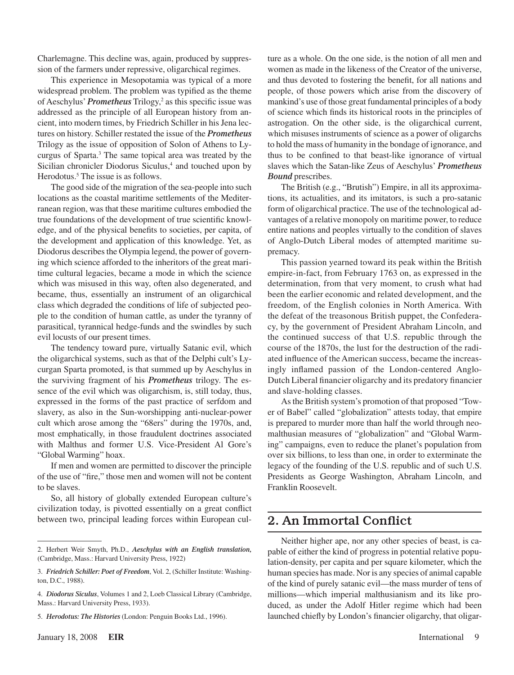Charlemagne. This decline was, again, produced by suppression of the farmers under repressive, oligarchical regimes.

This experience in Mesopotamia was typical of a more widespread problem. The problem was typified as the theme of Aeschylus' *Prometheus* Trilogy,<sup>2</sup> as this specific issue was addressed as the principle of all European history from ancient, into modern times, by Friedrich Schiller in his Jena lectures on history. Schiller restated the issue of the *Prometheus* Trilogy as the issue of opposition of Solon of Athens to Lycurgus of Sparta.<sup>3</sup> The same topical area was treated by the Sicilian chronicler Diodorus Siculus,<sup>4</sup> and touched upon by Herodotus.<sup>5</sup> The issue is as follows.

The good side of the migration of the sea-people into such locations as the coastal maritime settlements of the Mediterranean region, was that these maritime cultures embodied the true foundations of the development of true scientific knowledge, and of the physical benefits to societies, per capita, of the development and application of this knowledge. Yet, as Diodorus describes the Olympia legend, the power of governing which science afforded to the inheritors of the great maritime cultural legacies, became a mode in which the science which was misused in this way, often also degenerated, and became, thus, essentially an instrument of an oligarchical class which degraded the conditions of life of subjected people to the condition of human cattle, as under the tyranny of parasitical, tyrannical hedge-funds and the swindles by such evil locusts of our present times.

The tendency toward pure, virtually Satanic evil, which the oligarchical systems, such as that of the Delphi cult's Lycurgan Sparta promoted, is that summed up by Aeschylus in the surviving fragment of his *Prometheus* trilogy. The essence of the evil which was oligarchism, is, still today, thus, expressed in the forms of the past practice of serfdom and slavery, as also in the Sun-worshipping anti-nuclear-power cult which arose among the "68ers" during the 1970s, and, most emphatically, in those fraudulent doctrines associated with Malthus and former U.S. Vice-President Al Gore's "Global Warming" hoax.

If men and women are permitted to discover the principle of the use of "fire," those men and women will not be content to be slaves.

So, all history of globally extended European culture's civilization today, is pivotted essentially on a great conflict between two, principal leading forces within European culture as a whole. On the one side, is the notion of all men and women as made in the likeness of the Creator of the universe, and thus devoted to fostering the benefit, for all nations and people, of those powers which arise from the discovery of mankind's use of those great fundamental principles of a body of science which finds its historical roots in the principles of astrogation. On the other side, is the oligarchical current, which misuses instruments of science as a power of oligarchs to hold the mass of humanity in the bondage of ignorance, and thus to be confined to that beast-like ignorance of virtual slaves which the Satan-like Zeus of Aeschylus' *Prometheus Bound* prescribes.

The British (e.g., "Brutish") Empire, in all its approximations, its actualities, and its imitators, is such a pro-satanic form of oligarchical practice. The use of the technological advantages of a relative monopoly on maritime power, to reduce entire nations and peoples virtually to the condition of slaves of Anglo-Dutch Liberal modes of attempted maritime supremacy.

This passion yearned toward its peak within the British empire-in-fact, from February 1763 on, as expressed in the determination, from that very moment, to crush what had been the earlier economic and related development, and the freedom, of the English colonies in North America. With the defeat of the treasonous British puppet, the Confederacy, by the government of President Abraham Lincoln, and the continued success of that U.S. republic through the course of the 1870s, the lust for the destruction of the radiated influence of the American success, became the increasingly inflamed passion of the London-centered Anglo-Dutch Liberal financier oligarchy and its predatory financier and slave-holding classes.

Asthe British system's promotion of that proposed "Tower of Babel" called "globalization" attests today, that empire is prepared to murder more than half the world through neomalthusian measures of "globalization" and "Global Warming" campaigns, even to reduce the planet's population from over six billions, to less than one, in order to exterminate the legacy of the founding of the U.S. republic and of such U.S. Presidents as George Washington, Abraham Lincoln, and Franklin Roosevelt.

## 2. An Immortal Conflict

Neither higher ape, nor any other species of beast, is capable of either the kind of progress in potential relative population-density, per capita and per square kilometer, which the human species has made. Nor is any species of animal capable of the kind of purely satanic evil—the mass murder of tens of millions—which imperial malthusianism and its like produced, as under the Adolf Hitler regime which had been launched chiefly by London's financier oligarchy, that oligar-

<sup>2.</sup> Herbert Weir Smyth, Ph.D., *Aeschylus with an English translation,* (Cambridge, Mass.: Harvard University Press, 1922)

<sup>3.</sup> *Friedrich Schiller: Poet of Freedom*, Vol. 2, (Schiller Institute: Washington, D.C., 1988).

<sup>.</sup> *Diodorus Siculus*, Volumes 1 and 2, Loeb Classical Library (Cambridge, Mass.: Harvard University Press, 1933).

<sup>5.</sup> *Herodotus: The Histories* (London: Penguin Books Ltd., 1996).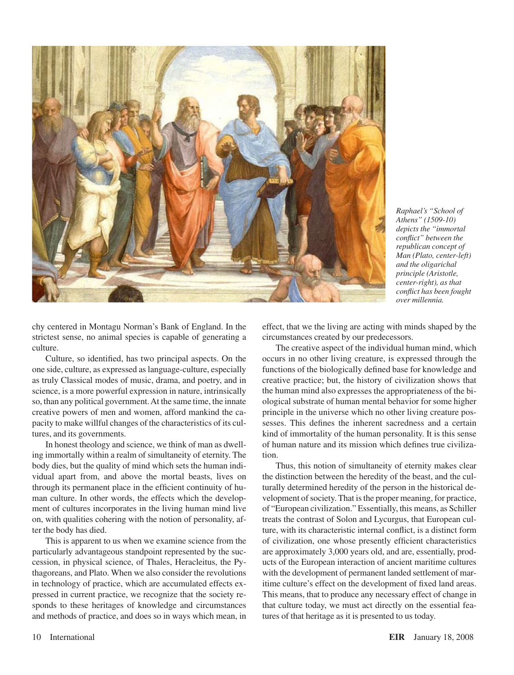

*Raphael's "School of Athens" (1509-10) depicts the "immortal conflict" between the republican concept of Man (Plato, center-left) and the oligarichal principle (Aristotle, center-right), as that conflict has been fought over millennia.*

chy centered in Montagu Norman's Bank of England. In the strictest sense, no animal species is capable of generating a culture.

Culture, so identified, has two principal aspects. On the one side, culture, as expressed aslanguage-culture, especially as truly Classical modes of music, drama, and poetry, and in science, is a more powerful expression in nature, intrinsically so, than any political government.At the same time, the innate creative powers of men and women, afford mankind the capacity to make willful changes of the characteristics of its cultures, and its governments.

In honest theology and science, we think of man as dwelling immortally within a realm of simultaneity of eternity. The body dies, but the quality of mind which sets the human individual apart from, and above the mortal beasts, lives on through its permanent place in the efficient continuity of human culture. In other words, the effects which the development of cultures incorporates in the living human mind live on, with qualities cohering with the notion of personality, after the body has died.

This is apparent to us when we examine science from the particularly advantageous standpoint represented by the succession, in physical science, of Thales, Heracleitus, the Pythagoreans, and Plato. When we also consider the revolutions in technology of practice, which are accumulated effects expressed in current practice, we recognize that the society responds to these heritages of knowledge and circumstances and methods of practice, and does so in ways which mean, in effect, that we the living are acting with minds shaped by the circumstances created by our predecessors.

The creative aspect of the individual human mind, which occurs in no other living creature, is expressed through the functions of the biologically defined base for knowledge and creative practice; but, the history of civilization shows that the human mind also expresses the appropriateness of the biological substrate of human mental behavior for some higher principle in the universe which no other living creature possesses. This defines the inherent sacredness and a certain kind of immortality of the human personality. It is this sense of human nature and its mission which defines true civilization.

Thus, this notion of simultaneity of eternity makes clear the distinction between the heredity of the beast, and the culturally determined heredity of the person in the historical development of society. That is the proper meaning, for practice, of "European civilization." Essentially, this means, as Schiller treats the contrast of Solon and Lycurgus, that European culture, with its characteristic internal conflict, is a distinct form of civilization, one whose presently efficient characteristics are approximately 3,000 years old, and are, essentially, products of the European interaction of ancient maritime cultures with the development of permanent landed settlement of maritime culture's effect on the development of fixed land areas. This means, that to produce any necessary effect of change in that culture today, we must act directly on the essential features of that heritage as it is presented to us today.